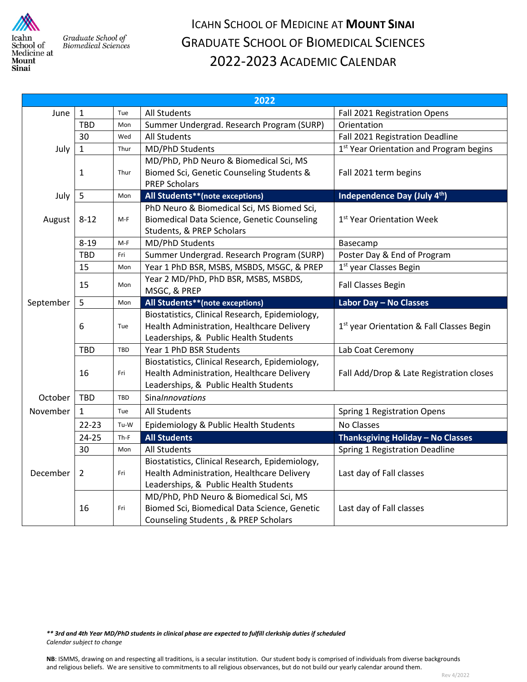

Graduate School of **Biomedical Sciences** 

## ICAHN SCHOOL OF MEDICINE AT **MOUNT SINAI** GRADUATE SCHOOL OF BIOMEDICAL SCIENCES 2022-2023 ACADEMIC CALENDAR

| 2022      |                |        |                                                    |                                                       |  |
|-----------|----------------|--------|----------------------------------------------------|-------------------------------------------------------|--|
| June      | $\mathbf{1}$   | Tue    | <b>All Students</b>                                | Fall 2021 Registration Opens                          |  |
|           | <b>TBD</b>     | Mon    | Summer Undergrad. Research Program (SURP)          | Orientation                                           |  |
|           | 30             | Wed    | All Students                                       | Fall 2021 Registration Deadline                       |  |
| July      | $\mathbf{1}$   | Thur   | MD/PhD Students                                    | 1 <sup>st</sup> Year Orientation and Program begins   |  |
|           |                |        | MD/PhD, PhD Neuro & Biomedical Sci, MS             |                                                       |  |
|           | 1              | Thur   | Biomed Sci, Genetic Counseling Students &          | Fall 2021 term begins                                 |  |
|           |                |        | <b>PREP Scholars</b>                               |                                                       |  |
| July      | 5              | Mon    | All Students**(note exceptions)                    | Independence Day (July 4th)                           |  |
|           |                |        | PhD Neuro & Biomedical Sci, MS Biomed Sci,         |                                                       |  |
| August    | $8 - 12$       | $M-F$  | <b>Biomedical Data Science, Genetic Counseling</b> | 1 <sup>st</sup> Year Orientation Week                 |  |
|           |                |        | Students, & PREP Scholars                          |                                                       |  |
|           | $8 - 19$       | M-F    | MD/PhD Students                                    | Basecamp                                              |  |
|           | TBD            | Fri    | Summer Undergrad. Research Program (SURP)          | Poster Day & End of Program                           |  |
|           | 15             | Mon    | Year 1 PhD BSR, MSBS, MSBDS, MSGC, & PREP          | 1 <sup>st</sup> year Classes Begin                    |  |
|           | 15             | Mon    | Year 2 MD/PhD, PhD BSR, MSBS, MSBDS,               | <b>Fall Classes Begin</b>                             |  |
|           |                |        | MSGC, & PREP                                       |                                                       |  |
| September | 5              | Mon    | All Students**(note exceptions)                    | Labor Day - No Classes                                |  |
|           |                |        | Biostatistics, Clinical Research, Epidemiology,    |                                                       |  |
|           | 6              | Tue    | Health Administration, Healthcare Delivery         | 1 <sup>st</sup> year Orientation & Fall Classes Begin |  |
|           |                |        | Leaderships, & Public Health Students              |                                                       |  |
|           | TBD            | TBD    | Year 1 PhD BSR Students                            | Lab Coat Ceremony                                     |  |
|           |                |        | Biostatistics, Clinical Research, Epidemiology,    |                                                       |  |
|           | 16             | Fri    | Health Administration, Healthcare Delivery         | Fall Add/Drop & Late Registration closes              |  |
|           |                |        | Leaderships, & Public Health Students              |                                                       |  |
| October   | <b>TBD</b>     | TBD    | Sinalnnovations                                    |                                                       |  |
| November  | $\mathbf{1}$   | Tue    | <b>All Students</b>                                | <b>Spring 1 Registration Opens</b>                    |  |
|           | $22 - 23$      | Tu-W   | Epidemiology & Public Health Students              | No Classes                                            |  |
| December  | $24 - 25$      | $Th-F$ | <b>All Students</b>                                | Thanksgiving Holiday - No Classes                     |  |
|           | 30             | Mon    | All Students                                       | Spring 1 Registration Deadline                        |  |
|           |                |        | Biostatistics, Clinical Research, Epidemiology,    |                                                       |  |
|           | $\overline{2}$ | Fri    | Health Administration, Healthcare Delivery         | Last day of Fall classes                              |  |
|           |                |        | Leaderships, & Public Health Students              |                                                       |  |
|           |                |        | MD/PhD, PhD Neuro & Biomedical Sci, MS             |                                                       |  |
|           | 16             | Fri    | Biomed Sci, Biomedical Data Science, Genetic       | Last day of Fall classes                              |  |
|           |                |        | Counseling Students, & PREP Scholars               |                                                       |  |

*\*\* 3rd and 4th Year MD/PhD students in clinical phase are expected to fulfill clerkship duties if scheduled Calendar subject to change*

**NB**: ISMMS, drawing on and respecting all traditions, is a secular institution. Our student body is comprised of individuals from diverse backgrounds and religious beliefs. We are sensitive to commitments to all religious observances, but do not build our yearly calendar around them.